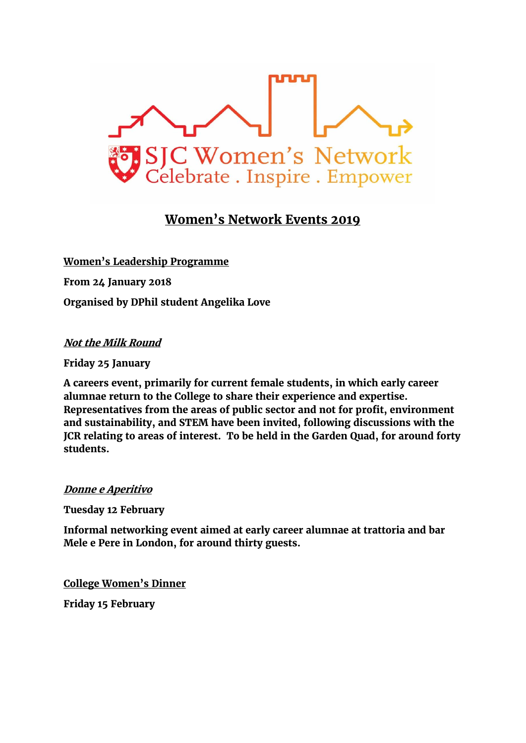

## **Women's Network Events 2019**

**Women's Leadership Programme From 24 January 2018 Organised by DPhil student Angelika Love**

**Not the Milk Round**

**Friday 25 January** 

**A careers event, primarily for current female students, in which early career alumnae return to the College to share their experience and expertise. Representatives from the areas of public sector and not for profit, environment and sustainability, and STEM have been invited, following discussions with the JCR relating to areas of interest. To be held in the Garden Quad, for around forty students.**

## **Donne e Aperitivo**

**Tuesday 12 February**

**Informal networking event aimed at early career alumnae at trattoria and bar Mele e Pere in London, for around thirty guests.** 

**College Women's Dinner Friday 15 February**